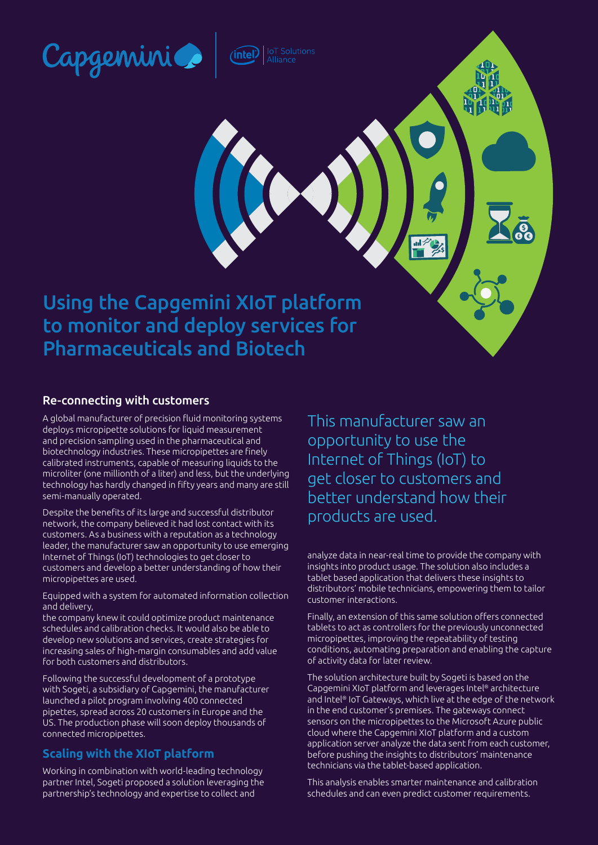

intel:

Using the Capgemini XIoT platform to monitor and deploy services for Pharmaceuticals and Biotech

### Re-connecting with customers

A global manufacturer of precision fluid monitoring systems deploys micropipette solutions for liquid measurement and precision sampling used in the pharmaceutical and biotechnology industries. These micropipettes are finely calibrated instruments, capable of measuring liquids to the microliter (one millionth of a liter) and less, but the underlying technology has hardly changed in fifty years and many are still semi-manually operated.

Despite the benefits of its large and successful distributor network, the company believed it had lost contact with its customers. As a business with a reputation as a technology leader, the manufacturer saw an opportunity to use emerging Internet of Things (IoT) technologies to get closer to customers and develop a better understanding of how their micropipettes are used.

Equipped with a system for automated information collection and delivery,

the company knew it could optimize product maintenance schedules and calibration checks. It would also be able to develop new solutions and services, create strategies for increasing sales of high-margin consumables and add value for both customers and distributors.

Following the successful development of a prototype with Sogeti, a subsidiary of Capgemini, the manufacturer launched a pilot program involving 400 connected pipettes, spread across 20 customers in Europe and the US. The production phase will soon deploy thousands of connected micropipettes.

# **Scaling with the XIoT platform**

Working in combination with world-leading technology partner Intel, Sogeti proposed a solution leveraging the partnership's technology and expertise to collect and

This manufacturer saw an opportunity to use the Internet of Things (IoT) to get closer to customers and better understand how their products are used.

analyze data in near-real time to provide the company with insights into product usage. The solution also includes a tablet based application that delivers these insights to distributors' mobile technicians, empowering them to tailor customer interactions.

Finally, an extension of this same solution offers connected tablets to act as controllers for the previously unconnected micropipettes, improving the repeatability of testing conditions, automating preparation and enabling the capture of activity data for later review.

The solution architecture built by Sogeti is based on the Capgemini XIoT platform and leverages Intel® architecture and Intel® IoT Gateways, which live at the edge of the network in the end customer's premises. The gateways connect sensors on the micropipettes to the Microsoft Azure public cloud where the Capgemini XIoT platform and a custom application server analyze the data sent from each customer, before pushing the insights to distributors' maintenance technicians via the tablet-based application.

This analysis enables smarter maintenance and calibration schedules and can even predict customer requirements.